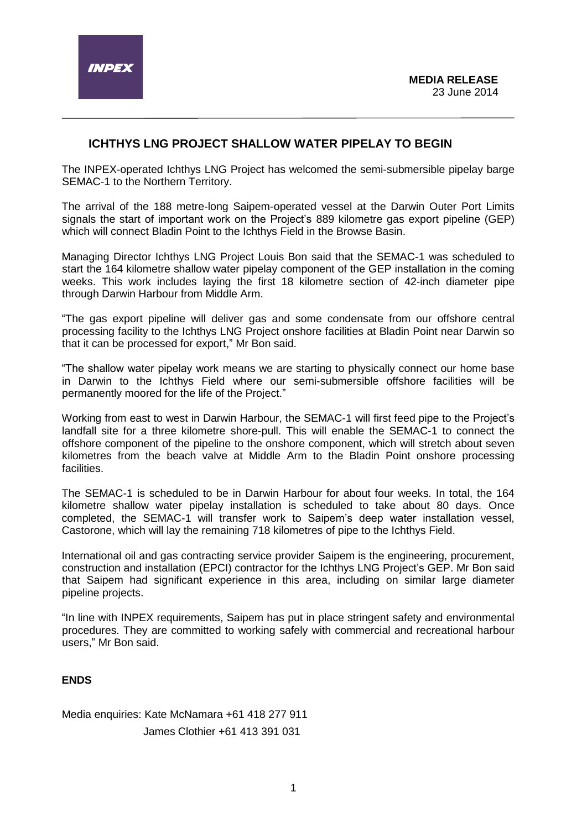# **ICHTHYS LNG PROJECT SHALLOW WATER PIPELAY TO BEGIN**

The INPEX-operated Ichthys LNG Project has welcomed the semi-submersible pipelay barge SEMAC-1 to the Northern Territory.

The arrival of the 188 metre-long Saipem-operated vessel at the Darwin Outer Port Limits signals the start of important work on the Project's 889 kilometre gas export pipeline (GEP) which will connect Bladin Point to the Ichthys Field in the Browse Basin.

Managing Director Ichthys LNG Project Louis Bon said that the SEMAC-1 was scheduled to start the 164 kilometre shallow water pipelay component of the GEP installation in the coming weeks. This work includes laying the first 18 kilometre section of 42-inch diameter pipe through Darwin Harbour from Middle Arm.

"The gas export pipeline will deliver gas and some condensate from our offshore central processing facility to the Ichthys LNG Project onshore facilities at Bladin Point near Darwin so that it can be processed for export," Mr Bon said.

"The shallow water pipelay work means we are starting to physically connect our home base in Darwin to the Ichthys Field where our semi-submersible offshore facilities will be permanently moored for the life of the Project."

Working from east to west in Darwin Harbour, the SEMAC-1 will first feed pipe to the Project's landfall site for a three kilometre shore-pull. This will enable the SEMAC-1 to connect the offshore component of the pipeline to the onshore component, which will stretch about seven kilometres from the beach valve at Middle Arm to the Bladin Point onshore processing facilities.

The SEMAC-1 is scheduled to be in Darwin Harbour for about four weeks. In total, the 164 kilometre shallow water pipelay installation is scheduled to take about 80 days. Once completed, the SEMAC-1 will transfer work to Saipem's deep water installation vessel, Castorone, which will lay the remaining 718 kilometres of pipe to the Ichthys Field.

International oil and gas contracting service provider Saipem is the engineering, procurement, construction and installation (EPCI) contractor for the Ichthys LNG Project's GEP. Mr Bon said that Saipem had significant experience in this area, including on similar large diameter pipeline projects.

"In line with INPEX requirements, Saipem has put in place stringent safety and environmental procedures. They are committed to working safely with commercial and recreational harbour users," Mr Bon said.

## **ENDS**

Media enquiries: Kate McNamara +61 418 277 911 James Clothier +61 413 391 031